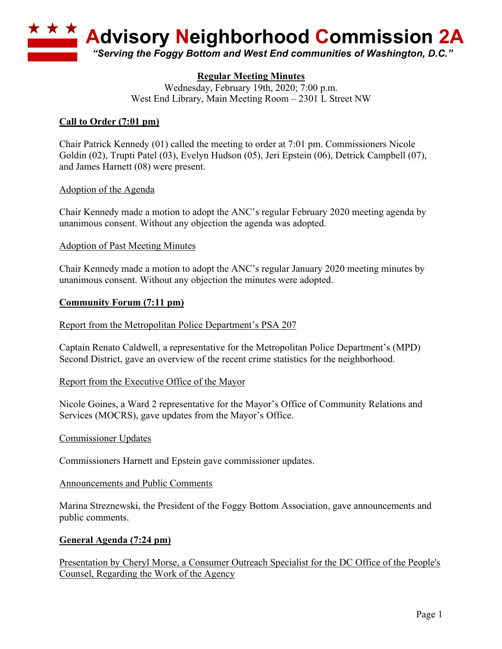

# **Regular Meeting Minutes**

Wednesday, February 19th, 2020; 7:00 p.m. West End Library, Main Meeting Room – 2301 L Street NW

# **Call to Order (7:01 pm)**

Chair Patrick Kennedy (01) called the meeting to order at 7:01 pm. Commissioners Nicole Goldin (02), Trupti Patel (03), Evelyn Hudson (05), Jeri Epstein (06), Detrick Campbell (07), and James Harnett (08) were present.

## Adoption of the Agenda

Chair Kennedy made a motion to adopt the ANC's regular February 2020 meeting agenda by unanimous consent. Without any objection the agenda was adopted.

### Adoption of Past Meeting Minutes

Chair Kennedy made a motion to adopt the ANC's regular January 2020 meeting minutes by unanimous consent. Without any objection the minutes were adopted.

### **Community Forum (7:11 pm)**

#### Report from the Metropolitan Police Department's PSA 207

Captain Renato Caldwell, a representative for the Metropolitan Police Department's (MPD) Second District, gave an overview of the recent crime statistics for the neighborhood.

#### Report from the Executive Office of the Mayor

Nicole Goines, a Ward 2 representative for the Mayor's Office of Community Relations and Services (MOCRS), gave updates from the Mayor's Office.

#### Commissioner Updates

Commissioners Harnett and Epstein gave commissioner updates.

#### Announcements and Public Comments

Marina Streznewski, the President of the Foggy Bottom Association, gave announcements and public comments.

## **General Agenda (7:24 pm)**

Presentation by Cheryl Morse, a Consumer Outreach Specialist for the DC Office of the People's Counsel, Regarding the Work of the Agency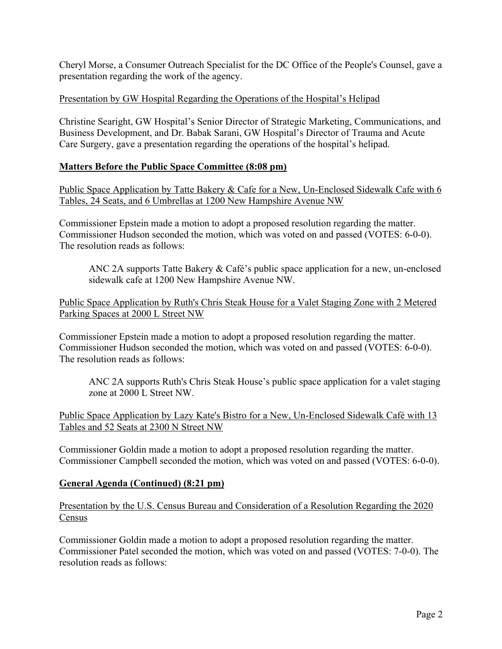Cheryl Morse, a Consumer Outreach Specialist for the DC Office of the People's Counsel, gave a presentation regarding the work of the agency.

# Presentation by GW Hospital Regarding the Operations of the Hospital's Helipad

Christine Searight, GW Hospital's Senior Director of Strategic Marketing, Communications, and Business Development, and Dr. Babak Sarani, GW Hospital's Director of Trauma and Acute Care Surgery, gave a presentation regarding the operations of the hospital's helipad.

# **Matters Before the Public Space Committee (8:08 pm)**

Public Space Application by Tatte Bakery & Cafe for a New, Un-Enclosed Sidewalk Cafe with 6 Tables, 24 Seats, and 6 Umbrellas at 1200 New Hampshire Avenue NW

Commissioner Epstein made a motion to adopt a proposed resolution regarding the matter. Commissioner Hudson seconded the motion, which was voted on and passed (VOTES: 6-0-0). The resolution reads as follows:

ANC 2A supports Tatte Bakery & Café's public space application for a new, un-enclosed sidewalk cafe at 1200 New Hampshire Avenue NW.

Public Space Application by Ruth's Chris Steak House for a Valet Staging Zone with 2 Metered Parking Spaces at 2000 L Street NW

Commissioner Epstein made a motion to adopt a proposed resolution regarding the matter. Commissioner Hudson seconded the motion, which was voted on and passed (VOTES: 6-0-0). The resolution reads as follows:

ANC 2A supports Ruth's Chris Steak House's public space application for a valet staging zone at 2000 L Street NW.

Public Space Application by Lazy Kate's Bistro for a New, Un-Enclosed Sidewalk Café with 13 Tables and 52 Seats at 2300 N Street NW

Commissioner Goldin made a motion to adopt a proposed resolution regarding the matter. Commissioner Campbell seconded the motion, which was voted on and passed (VOTES: 6-0-0).

## **General Agenda (Continued) (8:21 pm)**

Presentation by the U.S. Census Bureau and Consideration of a Resolution Regarding the 2020 Census

Commissioner Goldin made a motion to adopt a proposed resolution regarding the matter. Commissioner Patel seconded the motion, which was voted on and passed (VOTES: 7-0-0). The resolution reads as follows: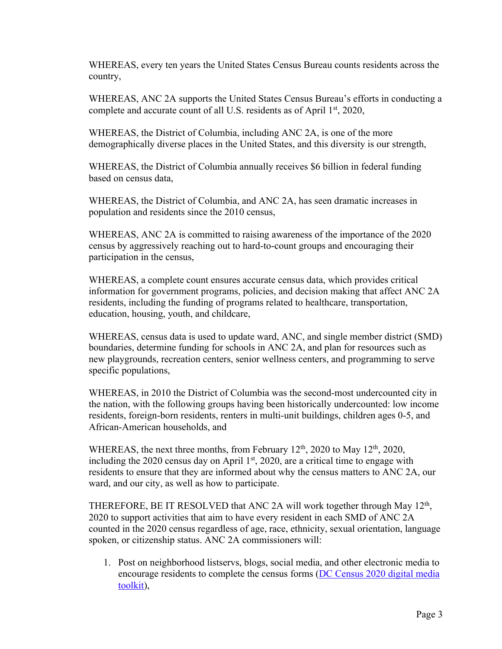WHEREAS, every ten years the United States Census Bureau counts residents across the country,

WHEREAS, ANC 2A supports the United States Census Bureau's efforts in conducting a complete and accurate count of all U.S. residents as of April 1<sup>st</sup>, 2020,

WHEREAS, the District of Columbia, including ANC 2A, is one of the more demographically diverse places in the United States, and this diversity is our strength,

WHEREAS, the District of Columbia annually receives \$6 billion in federal funding based on census data,

WHEREAS, the District of Columbia, and ANC 2A, has seen dramatic increases in population and residents since the 2010 census,

WHEREAS, ANC 2A is committed to raising awareness of the importance of the 2020 census by aggressively reaching out to hard-to-count groups and encouraging their participation in the census,

WHEREAS, a complete count ensures accurate census data, which provides critical information for government programs, policies, and decision making that affect ANC 2A residents, including the funding of programs related to healthcare, transportation, education, housing, youth, and childcare,

WHEREAS, census data is used to update ward, ANC, and single member district (SMD) boundaries, determine funding for schools in ANC 2A, and plan for resources such as new playgrounds, recreation centers, senior wellness centers, and programming to serve specific populations,

WHEREAS, in 2010 the District of Columbia was the second-most undercounted city in the nation, with the following groups having been historically undercounted: low income residents, foreign-born residents, renters in multi-unit buildings, children ages 0-5, and African-American households, and

WHEREAS, the next three months, from February  $12<sup>th</sup>$ ,  $2020$  to May  $12<sup>th</sup>$ ,  $2020$ , including the 2020 census day on April 1st, 2020, are a critical time to engage with residents to ensure that they are informed about why the census matters to ANC 2A, our ward, and our city, as well as how to participate.

THEREFORE, BE IT RESOLVED that ANC 2A will work together through May  $12<sup>th</sup>$ , 2020 to support activities that aim to have every resident in each SMD of ANC 2A counted in the 2020 census regardless of age, race, ethnicity, sexual orientation, language spoken, or citizenship status. ANC 2A commissioners will:

1. Post on neighborhood listservs, blogs, social media, and other electronic media to encourage residents to complete the census forms (DC Census 2020 digital media toolkit),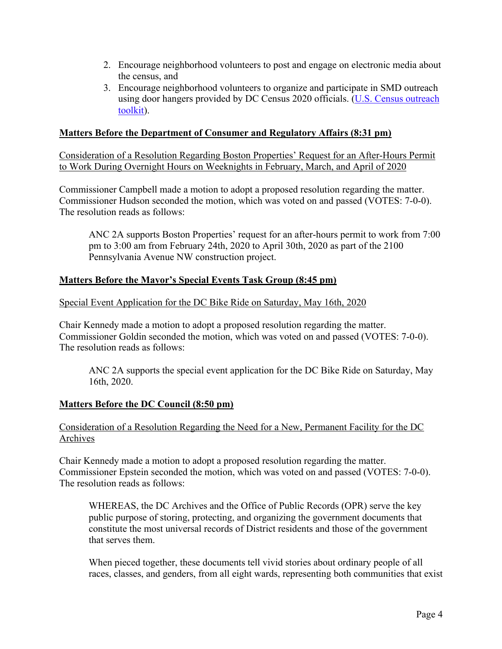- 2. Encourage neighborhood volunteers to post and engage on electronic media about the census, and
- 3. Encourage neighborhood volunteers to organize and participate in SMD outreach using door hangers provided by DC Census 2020 officials. (U.S. Census outreach toolkit).

# **Matters Before the Department of Consumer and Regulatory Affairs (8:31 pm)**

Consideration of a Resolution Regarding Boston Properties' Request for an After-Hours Permit to Work During Overnight Hours on Weeknights in February, March, and April of 2020

Commissioner Campbell made a motion to adopt a proposed resolution regarding the matter. Commissioner Hudson seconded the motion, which was voted on and passed (VOTES: 7-0-0). The resolution reads as follows:

ANC 2A supports Boston Properties' request for an after-hours permit to work from 7:00 pm to 3:00 am from February 24th, 2020 to April 30th, 2020 as part of the 2100 Pennsylvania Avenue NW construction project.

# **Matters Before the Mayor's Special Events Task Group (8:45 pm)**

### Special Event Application for the DC Bike Ride on Saturday, May 16th, 2020

Chair Kennedy made a motion to adopt a proposed resolution regarding the matter. Commissioner Goldin seconded the motion, which was voted on and passed (VOTES: 7-0-0). The resolution reads as follows:

ANC 2A supports the special event application for the DC Bike Ride on Saturday, May 16th, 2020.

## **Matters Before the DC Council (8:50 pm)**

## Consideration of a Resolution Regarding the Need for a New, Permanent Facility for the DC Archives

Chair Kennedy made a motion to adopt a proposed resolution regarding the matter. Commissioner Epstein seconded the motion, which was voted on and passed (VOTES: 7-0-0). The resolution reads as follows:

WHEREAS, the DC Archives and the Office of Public Records (OPR) serve the key public purpose of storing, protecting, and organizing the government documents that constitute the most universal records of District residents and those of the government that serves them.

When pieced together, these documents tell vivid stories about ordinary people of all races, classes, and genders, from all eight wards, representing both communities that exist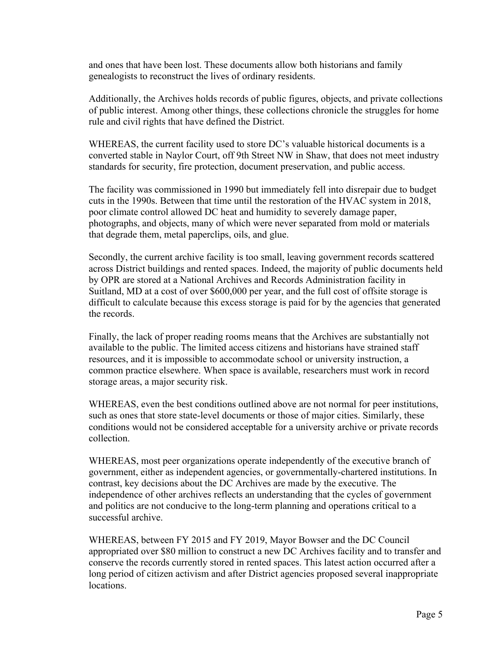and ones that have been lost. These documents allow both historians and family genealogists to reconstruct the lives of ordinary residents.

Additionally, the Archives holds records of public figures, objects, and private collections of public interest. Among other things, these collections chronicle the struggles for home rule and civil rights that have defined the District.

WHEREAS, the current facility used to store DC's valuable historical documents is a converted stable in Naylor Court, off 9th Street NW in Shaw, that does not meet industry standards for security, fire protection, document preservation, and public access.

The facility was commissioned in 1990 but immediately fell into disrepair due to budget cuts in the 1990s. Between that time until the restoration of the HVAC system in 2018, poor climate control allowed DC heat and humidity to severely damage paper, photographs, and objects, many of which were never separated from mold or materials that degrade them, metal paperclips, oils, and glue.

Secondly, the current archive facility is too small, leaving government records scattered across District buildings and rented spaces. Indeed, the majority of public documents held by OPR are stored at a National Archives and Records Administration facility in Suitland, MD at a cost of over \$600,000 per year, and the full cost of offsite storage is difficult to calculate because this excess storage is paid for by the agencies that generated the records.

Finally, the lack of proper reading rooms means that the Archives are substantially not available to the public. The limited access citizens and historians have strained staff resources, and it is impossible to accommodate school or university instruction, a common practice elsewhere. When space is available, researchers must work in record storage areas, a major security risk.

WHEREAS, even the best conditions outlined above are not normal for peer institutions, such as ones that store state-level documents or those of major cities. Similarly, these conditions would not be considered acceptable for a university archive or private records collection.

WHEREAS, most peer organizations operate independently of the executive branch of government, either as independent agencies, or governmentally-chartered institutions. In contrast, key decisions about the DC Archives are made by the executive. The independence of other archives reflects an understanding that the cycles of government and politics are not conducive to the long-term planning and operations critical to a successful archive.

WHEREAS, between FY 2015 and FY 2019, Mayor Bowser and the DC Council appropriated over \$80 million to construct a new DC Archives facility and to transfer and conserve the records currently stored in rented spaces. This latest action occurred after a long period of citizen activism and after District agencies proposed several inappropriate locations.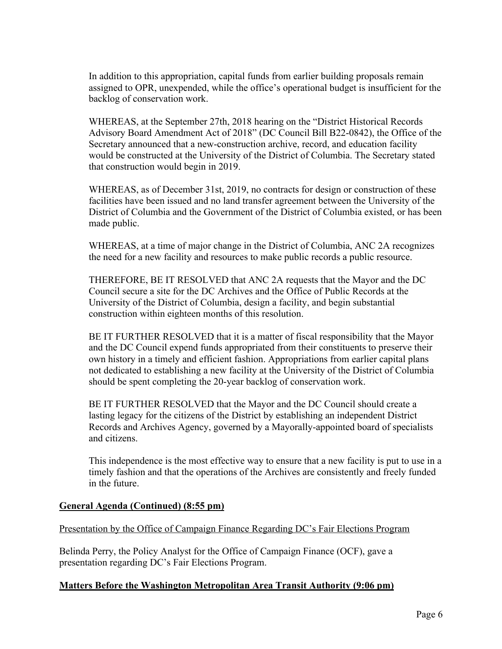In addition to this appropriation, capital funds from earlier building proposals remain assigned to OPR, unexpended, while the office's operational budget is insufficient for the backlog of conservation work.

WHEREAS, at the September 27th, 2018 hearing on the "District Historical Records Advisory Board Amendment Act of 2018" (DC Council Bill B22-0842), the Office of the Secretary announced that a new-construction archive, record, and education facility would be constructed at the University of the District of Columbia. The Secretary stated that construction would begin in 2019.

WHEREAS, as of December 31st, 2019, no contracts for design or construction of these facilities have been issued and no land transfer agreement between the University of the District of Columbia and the Government of the District of Columbia existed, or has been made public.

WHEREAS, at a time of major change in the District of Columbia, ANC 2A recognizes the need for a new facility and resources to make public records a public resource.

THEREFORE, BE IT RESOLVED that ANC 2A requests that the Mayor and the DC Council secure a site for the DC Archives and the Office of Public Records at the University of the District of Columbia, design a facility, and begin substantial construction within eighteen months of this resolution.

BE IT FURTHER RESOLVED that it is a matter of fiscal responsibility that the Mayor and the DC Council expend funds appropriated from their constituents to preserve their own history in a timely and efficient fashion. Appropriations from earlier capital plans not dedicated to establishing a new facility at the University of the District of Columbia should be spent completing the 20-year backlog of conservation work.

BE IT FURTHER RESOLVED that the Mayor and the DC Council should create a lasting legacy for the citizens of the District by establishing an independent District Records and Archives Agency, governed by a Mayorally-appointed board of specialists and citizens.

This independence is the most effective way to ensure that a new facility is put to use in a timely fashion and that the operations of the Archives are consistently and freely funded in the future.

## **General Agenda (Continued) (8:55 pm)**

## Presentation by the Office of Campaign Finance Regarding DC's Fair Elections Program

Belinda Perry, the Policy Analyst for the Office of Campaign Finance (OCF), gave a presentation regarding DC's Fair Elections Program.

## **Matters Before the Washington Metropolitan Area Transit Authority (9:06 pm)**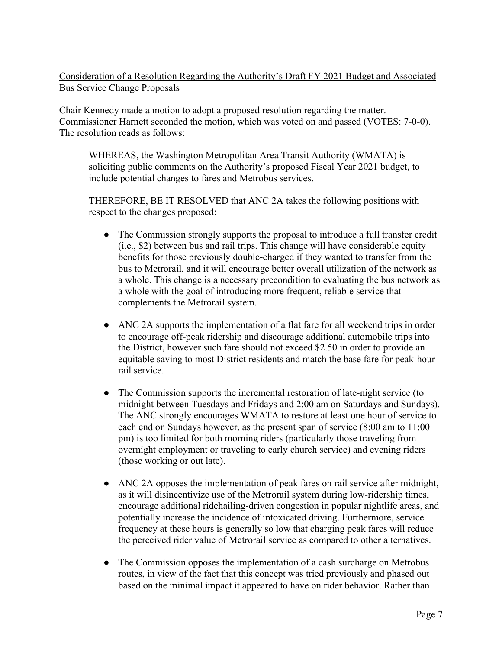# Consideration of a Resolution Regarding the Authority's Draft FY 2021 Budget and Associated Bus Service Change Proposals

Chair Kennedy made a motion to adopt a proposed resolution regarding the matter. Commissioner Harnett seconded the motion, which was voted on and passed (VOTES: 7-0-0). The resolution reads as follows:

WHEREAS, the Washington Metropolitan Area Transit Authority (WMATA) is soliciting public comments on the Authority's proposed Fiscal Year 2021 budget, to include potential changes to fares and Metrobus services.

THEREFORE, BE IT RESOLVED that ANC 2A takes the following positions with respect to the changes proposed:

- The Commission strongly supports the proposal to introduce a full transfer credit (i.e., \$2) between bus and rail trips. This change will have considerable equity benefits for those previously double-charged if they wanted to transfer from the bus to Metrorail, and it will encourage better overall utilization of the network as a whole. This change is a necessary precondition to evaluating the bus network as a whole with the goal of introducing more frequent, reliable service that complements the Metrorail system.
- ANC 2A supports the implementation of a flat fare for all weekend trips in order to encourage off-peak ridership and discourage additional automobile trips into the District, however such fare should not exceed \$2.50 in order to provide an equitable saving to most District residents and match the base fare for peak-hour rail service.
- The Commission supports the incremental restoration of late-night service (to midnight between Tuesdays and Fridays and 2:00 am on Saturdays and Sundays). The ANC strongly encourages WMATA to restore at least one hour of service to each end on Sundays however, as the present span of service (8:00 am to 11:00 pm) is too limited for both morning riders (particularly those traveling from overnight employment or traveling to early church service) and evening riders (those working or out late).
- ANC 2A opposes the implementation of peak fares on rail service after midnight, as it will disincentivize use of the Metrorail system during low-ridership times, encourage additional ridehailing-driven congestion in popular nightlife areas, and potentially increase the incidence of intoxicated driving. Furthermore, service frequency at these hours is generally so low that charging peak fares will reduce the perceived rider value of Metrorail service as compared to other alternatives.
- The Commission opposes the implementation of a cash surcharge on Metrobus routes, in view of the fact that this concept was tried previously and phased out based on the minimal impact it appeared to have on rider behavior. Rather than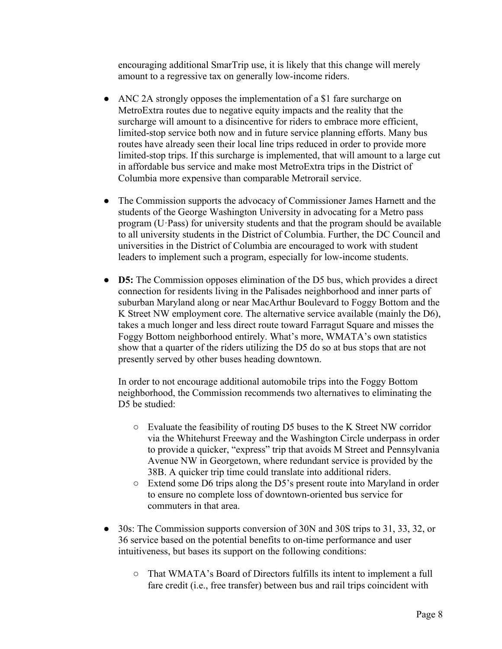encouraging additional SmarTrip use, it is likely that this change will merely amount to a regressive tax on generally low-income riders.

- ANC 2A strongly opposes the implementation of a \$1 fare surcharge on MetroExtra routes due to negative equity impacts and the reality that the surcharge will amount to a disincentive for riders to embrace more efficient, limited-stop service both now and in future service planning efforts. Many bus routes have already seen their local line trips reduced in order to provide more limited-stop trips. If this surcharge is implemented, that will amount to a large cut in affordable bus service and make most MetroExtra trips in the District of Columbia more expensive than comparable Metrorail service.
- The Commission supports the advocacy of Commissioner James Harnett and the students of the George Washington University in advocating for a Metro pass program (U·Pass) for university students and that the program should be available to all university students in the District of Columbia. Further, the DC Council and universities in the District of Columbia are encouraged to work with student leaders to implement such a program, especially for low-income students.
- **D5:** The Commission opposes elimination of the D5 bus, which provides a direct connection for residents living in the Palisades neighborhood and inner parts of suburban Maryland along or near MacArthur Boulevard to Foggy Bottom and the K Street NW employment core. The alternative service available (mainly the D6), takes a much longer and less direct route toward Farragut Square and misses the Foggy Bottom neighborhood entirely. What's more, WMATA's own statistics show that a quarter of the riders utilizing the D5 do so at bus stops that are not presently served by other buses heading downtown.

In order to not encourage additional automobile trips into the Foggy Bottom neighborhood, the Commission recommends two alternatives to eliminating the D5 be studied:

- Evaluate the feasibility of routing D5 buses to the K Street NW corridor via the Whitehurst Freeway and the Washington Circle underpass in order to provide a quicker, "express" trip that avoids M Street and Pennsylvania Avenue NW in Georgetown, where redundant service is provided by the 38B. A quicker trip time could translate into additional riders.
- Extend some D6 trips along the D5's present route into Maryland in order to ensure no complete loss of downtown-oriented bus service for commuters in that area.
- 30s: The Commission supports conversion of 30N and 30S trips to 31, 33, 32, or 36 service based on the potential benefits to on-time performance and user intuitiveness, but bases its support on the following conditions:
	- That WMATA's Board of Directors fulfills its intent to implement a full fare credit (i.e., free transfer) between bus and rail trips coincident with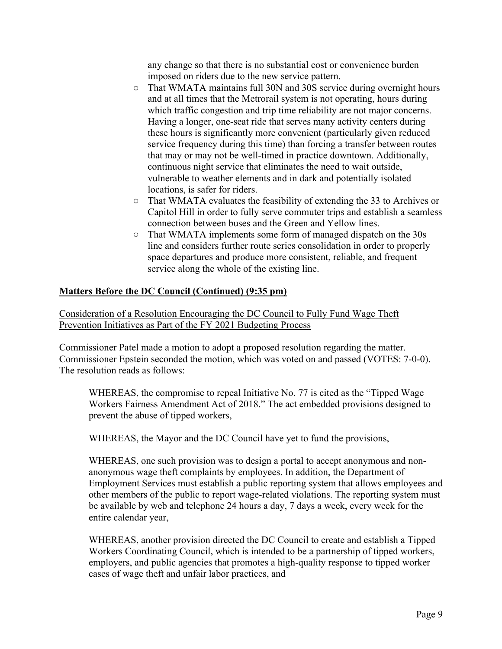any change so that there is no substantial cost or convenience burden imposed on riders due to the new service pattern.

- That WMATA maintains full 30N and 30S service during overnight hours and at all times that the Metrorail system is not operating, hours during which traffic congestion and trip time reliability are not major concerns. Having a longer, one-seat ride that serves many activity centers during these hours is significantly more convenient (particularly given reduced service frequency during this time) than forcing a transfer between routes that may or may not be well-timed in practice downtown. Additionally, continuous night service that eliminates the need to wait outside, vulnerable to weather elements and in dark and potentially isolated locations, is safer for riders.
- That WMATA evaluates the feasibility of extending the 33 to Archives or Capitol Hill in order to fully serve commuter trips and establish a seamless connection between buses and the Green and Yellow lines.
- That WMATA implements some form of managed dispatch on the 30s line and considers further route series consolidation in order to properly space departures and produce more consistent, reliable, and frequent service along the whole of the existing line.

# **Matters Before the DC Council (Continued) (9:35 pm)**

Consideration of a Resolution Encouraging the DC Council to Fully Fund Wage Theft Prevention Initiatives as Part of the FY 2021 Budgeting Process

Commissioner Patel made a motion to adopt a proposed resolution regarding the matter. Commissioner Epstein seconded the motion, which was voted on and passed (VOTES: 7-0-0). The resolution reads as follows:

WHEREAS, the compromise to repeal Initiative No. 77 is cited as the "Tipped Wage Workers Fairness Amendment Act of 2018." The act embedded provisions designed to prevent the abuse of tipped workers,

WHEREAS, the Mayor and the DC Council have yet to fund the provisions,

WHEREAS, one such provision was to design a portal to accept anonymous and nonanonymous wage theft complaints by employees. In addition, the Department of Employment Services must establish a public reporting system that allows employees and other members of the public to report wage-related violations. The reporting system must be available by web and telephone 24 hours a day, 7 days a week, every week for the entire calendar year,

WHEREAS, another provision directed the DC Council to create and establish a Tipped Workers Coordinating Council, which is intended to be a partnership of tipped workers, employers, and public agencies that promotes a high-quality response to tipped worker cases of wage theft and unfair labor practices, and